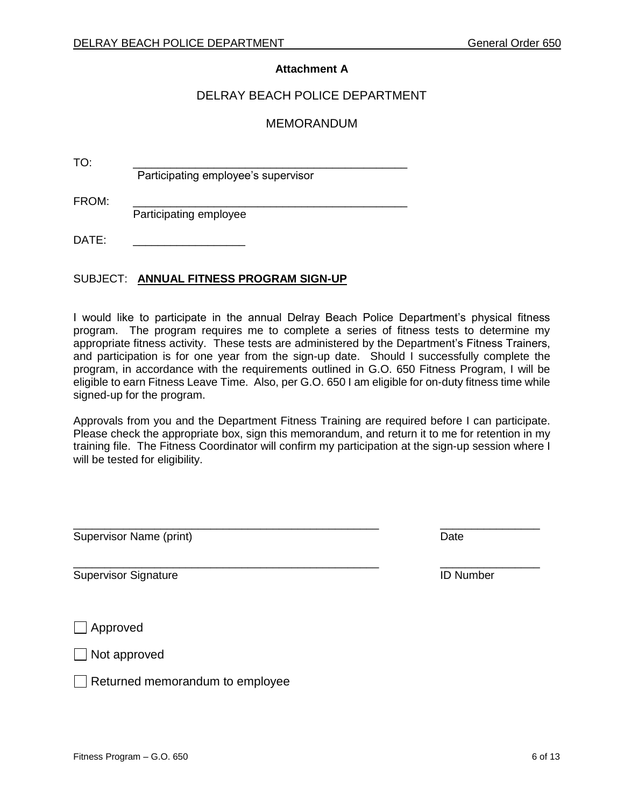#### **Attachment A**

#### DELRAY BEACH POLICE DEPARTMENT

#### MEMORANDUM

TO: \_\_\_\_\_\_\_\_\_\_\_\_\_\_\_\_\_\_\_\_\_\_\_\_\_\_\_\_\_\_\_\_\_\_\_\_\_\_\_\_\_\_\_\_

Participating employee's supervisor

FROM: \_\_\_\_\_\_\_\_\_\_\_\_\_\_\_\_\_\_\_\_\_\_\_\_\_\_\_\_\_\_\_\_\_\_\_\_\_\_\_\_\_\_\_\_ Participating employee

 $DATF$ 

#### SUBJECT: **ANNUAL FITNESS PROGRAM SIGN-UP**

I would like to participate in the annual Delray Beach Police Department's physical fitness program. The program requires me to complete a series of fitness tests to determine my appropriate fitness activity. These tests are administered by the Department's Fitness Trainers, and participation is for one year from the sign-up date. Should I successfully complete the program, in accordance with the requirements outlined in G.O. 650 Fitness Program, I will be eligible to earn Fitness Leave Time. Also, per G.O. 650 I am eligible for on-duty fitness time while signed-up for the program.

Approvals from you and the Department Fitness Training are required before I can participate. Please check the appropriate box, sign this memorandum, and return it to me for retention in my training file. The Fitness Coordinator will confirm my participation at the sign-up session where I will be tested for eligibility.

\_\_\_\_\_\_\_\_\_\_\_\_\_\_\_\_\_\_\_\_\_\_\_\_\_\_\_\_\_\_\_\_\_\_\_\_\_\_\_\_\_\_\_\_\_\_\_\_\_ \_\_\_\_\_\_\_\_\_\_\_\_\_\_\_\_

\_\_\_\_\_\_\_\_\_\_\_\_\_\_\_\_\_\_\_\_\_\_\_\_\_\_\_\_\_\_\_\_\_\_\_\_\_\_\_\_\_\_\_\_\_\_\_\_\_ \_\_\_\_\_\_\_\_\_\_\_\_\_\_\_\_

Supervisor Name (print) **Date** and the state of the state of the state of the state of the state of the state of the state of the state of the state of the state of the state of the state of the state of the state of the s

Supervisor Signature **ID** Number

Approved

Not approved

 $\Box$  Returned memorandum to employee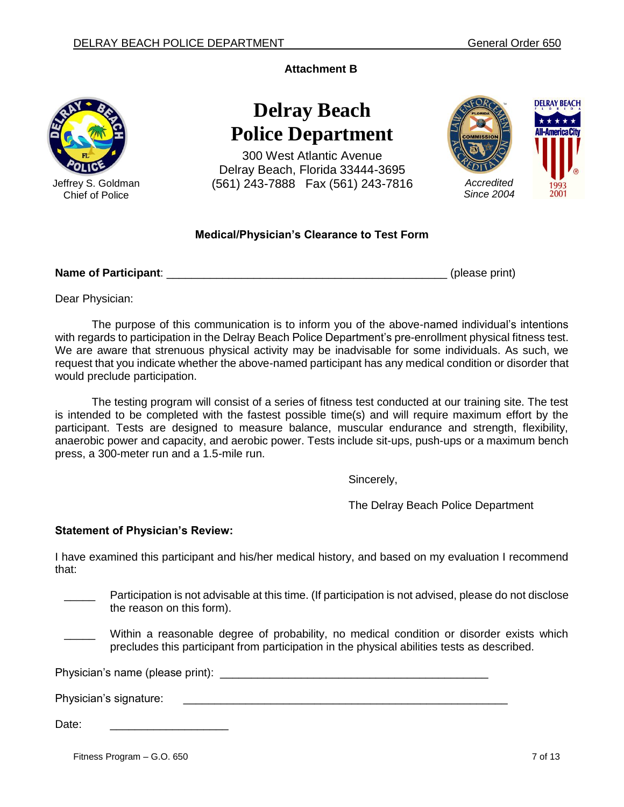**Attachment B**



Jeffrey S. Goldman Chief of Police

# **Delray Beach Police Department**

300 West Atlantic Avenue Delray Beach, Florida 33444-3695 (561) 243-7888 Fax (561) 243-7816 *Accredited*



# **Medical/Physician's Clearance to Test Form**

# **Name of Participant**: \_\_\_\_\_\_\_\_\_\_\_\_\_\_\_\_\_\_\_\_\_\_\_\_\_\_\_\_\_\_\_\_\_\_\_\_\_\_\_\_\_\_\_\_\_ (please print)

Dear Physician:

The purpose of this communication is to inform you of the above-named individual's intentions with regards to participation in the Delray Beach Police Department's pre-enrollment physical fitness test. We are aware that strenuous physical activity may be inadvisable for some individuals. As such, we request that you indicate whether the above-named participant has any medical condition or disorder that would preclude participation.

The testing program will consist of a series of fitness test conducted at our training site. The test is intended to be completed with the fastest possible time(s) and will require maximum effort by the participant. Tests are designed to measure balance, muscular endurance and strength, flexibility, anaerobic power and capacity, and aerobic power. Tests include sit-ups, push-ups or a maximum bench press, a 300-meter run and a 1.5-mile run.

Sincerely,

The Delray Beach Police Department

#### **Statement of Physician's Review:**

I have examined this participant and his/her medical history, and based on my evaluation I recommend that:

Participation is not advisable at this time. (If participation is not advised, please do not disclose the reason on this form).

Within a reasonable degree of probability, no medical condition or disorder exists which precludes this participant from participation in the physical abilities tests as described.

Physician's name (please print): \_\_\_\_\_\_\_\_\_\_\_\_\_\_\_\_\_\_\_\_\_\_\_\_\_\_\_\_\_\_\_\_\_\_\_\_\_\_\_\_\_\_\_

Physician's signature:

Date:

Fitness Program – G.O. 650 7 of 13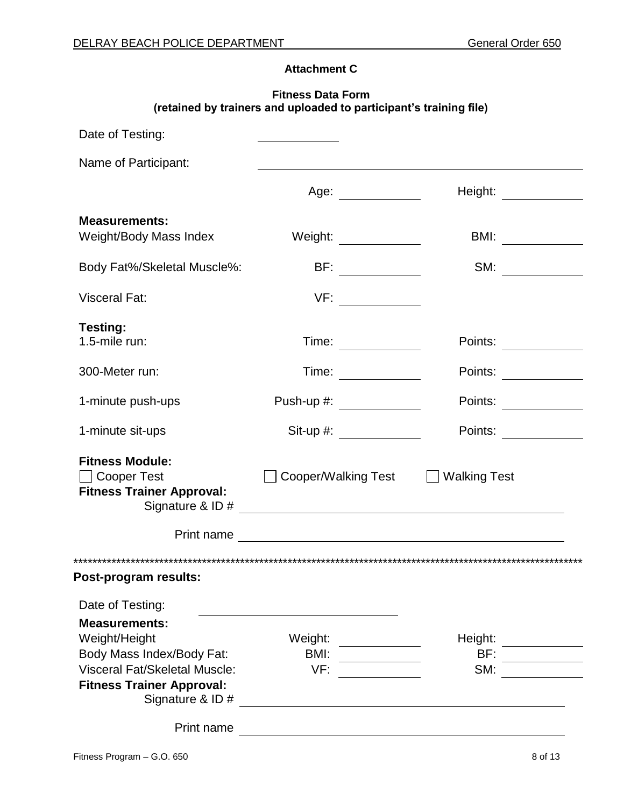# **Attachment C**

#### **Fitness Data Form (retained by trainers and uploaded to participant's training file)**

| Date of Testing:                                                                             |                                                    |                                              |
|----------------------------------------------------------------------------------------------|----------------------------------------------------|----------------------------------------------|
| Name of Participant:                                                                         |                                                    |                                              |
|                                                                                              | Age: _____________                                 | Height:                                      |
| <b>Measurements:</b>                                                                         |                                                    |                                              |
| Weight/Body Mass Index                                                                       | Weight: $\qquad \qquad$                            | BMI: _____________                           |
| Body Fat%/Skeletal Muscle%:                                                                  | BF: $\qquad \qquad$                                | SM:<br><u> a shekara ta 1999 a shekara t</u> |
| <b>Visceral Fat:</b>                                                                         | VF:                                                |                                              |
| <b>Testing:</b>                                                                              |                                                    |                                              |
| 1.5-mile run:                                                                                | Time:                                              | Points:                                      |
| 300-Meter run:                                                                               | Time:                                              | Points:                                      |
| 1-minute push-ups                                                                            | Push-up #: $\frac{1}{2}$                           | Points:                                      |
| 1-minute sit-ups                                                                             |                                                    | Points:                                      |
| <b>Fitness Module:</b><br><b>Cooper Test</b><br><b>Fitness Trainer Approval:</b>             | Cooper/Walking Test                                | <b>Walking Test</b>                          |
|                                                                                              |                                                    |                                              |
| Post-program results:                                                                        |                                                    |                                              |
| Date of Testing:                                                                             |                                                    |                                              |
| <b>Measurements:</b>                                                                         |                                                    |                                              |
| Weight/Height                                                                                | Weight:<br><u> a shekara t</u>                     | Height:                                      |
| Body Mass Index/Body Fat:                                                                    | BMI:                                               | BF:                                          |
| <b>Visceral Fat/Skeletal Muscle:</b><br><b>Fitness Trainer Approval:</b><br>Signature & ID # | VF:                                                | SM:                                          |
|                                                                                              | <u> 1989 - John Stein, Amerikaansk politiker (</u> |                                              |
| Print name                                                                                   |                                                    |                                              |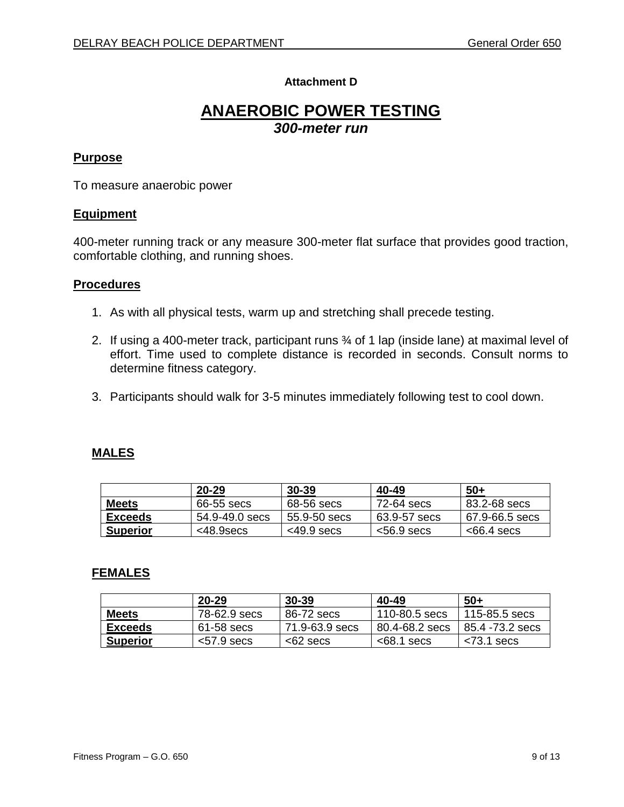# **Attachment D**

# **ANAEROBIC POWER TESTING** *300-meter run*

#### **Purpose**

To measure anaerobic power

#### **Equipment**

400-meter running track or any measure 300-meter flat surface that provides good traction, comfortable clothing, and running shoes.

#### **Procedures**

- 1. As with all physical tests, warm up and stretching shall precede testing.
- 2. If using a 400-meter track, participant runs ¾ of 1 lap (inside lane) at maximal level of effort. Time used to complete distance is recorded in seconds. Consult norms to determine fitness category.
- 3. Participants should walk for 3-5 minutes immediately following test to cool down.

# **MALES**

|                 | $20 - 29$      | $30 - 39$     | 40-49         | -50+           |
|-----------------|----------------|---------------|---------------|----------------|
| <b>Meets</b>    | 66-55 secs     | 68-56 secs    | 72-64 secs    | 83.2-68 secs   |
| <b>Exceeds</b>  | 54.9-49.0 secs | 55.9-50 secs  | 63.9-57 secs  | 67.9-66.5 secs |
| <b>Superior</b> | <48.9secs      | $<$ 49.9 secs | $<$ 56.9 secs | $<$ 66.4 secs  |

|                 | 20-29         | $30 - 39$      | 40-49          | $50+$           |
|-----------------|---------------|----------------|----------------|-----------------|
| <b>Meets</b>    | 78-62.9 secs  | 86-72 secs     | 110-80.5 secs  | 115-85.5 secs   |
| Exceeds         | 61-58 secs    | 71.9-63.9 secs | 80.4-68.2 secs | 85.4 -73.2 secs |
| <b>Superior</b> | $<$ 57.9 secs | $<$ 62 secs    | $<$ 68.1 secs  | $<$ 73.1 secs   |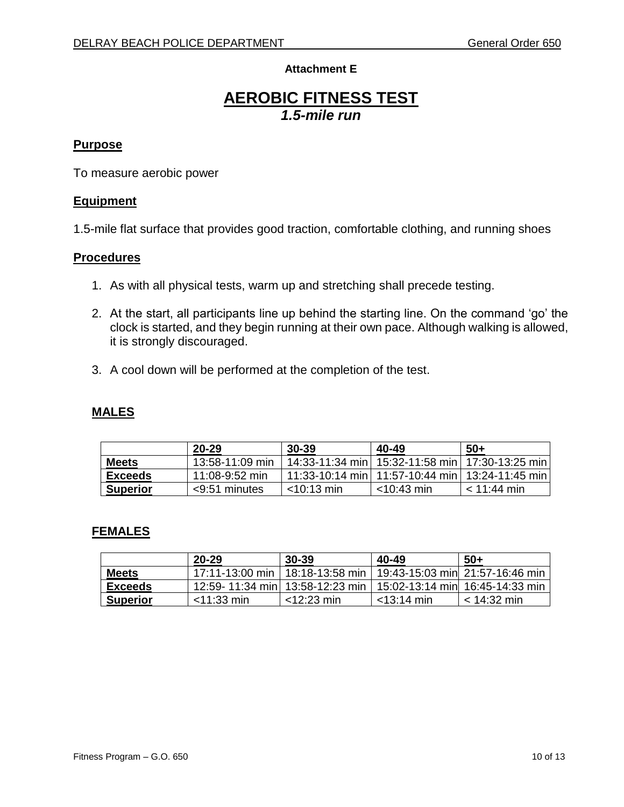# **Attachment E**

# **AEROBIC FITNESS TEST** *1.5-mile run*

# **Purpose**

To measure aerobic power

#### **Equipment**

1.5-mile flat surface that provides good traction, comfortable clothing, and running shoes

#### **Procedures**

- 1. As with all physical tests, warm up and stretching shall precede testing.
- 2. At the start, all participants line up behind the starting line. On the command 'go' the clock is started, and they begin running at their own pace. Although walking is allowed, it is strongly discouraged.
- 3. A cool down will be performed at the completion of the test.

# **MALES**

|                 | $20 - 29$         | $30 - 39$     | 40-49         | $50+$                                               |
|-----------------|-------------------|---------------|---------------|-----------------------------------------------------|
| <b>Meets</b>    | $13:58-11:09$ min |               |               | 14:33-11:34 min   15:32-11:58 min   17:30-13:25 min |
| Exceeds         | $11:08-9:52$ min  |               |               | 11:33-10:14 min   11:57-10:44 min   13:24-11:45 min |
| <b>Superior</b> | $<$ 9:51 minutes  | $<$ 10:13 min | $<$ 10:43 min | $< 11:44 \text{ min}$                               |

|                 | $20 - 29$                         | $30 - 39$       | 40-49                            | $50+$         |
|-----------------|-----------------------------------|-----------------|----------------------------------|---------------|
| <b>Meets</b>    | 17:11-13:00 min I                 | 18:18-13:58 min | 19:43-15:03 min 21:57-16:46 min  |               |
| Exceeds         | 12:59- 11:34 min  13:58-12:23 min |                 | 15:02-13:14 min  16:45-14:33 min |               |
| <b>Superior</b> | $<$ 11:33 min                     | $<$ 12:23 min   | $<$ 13:14 min                    | $<$ 14:32 min |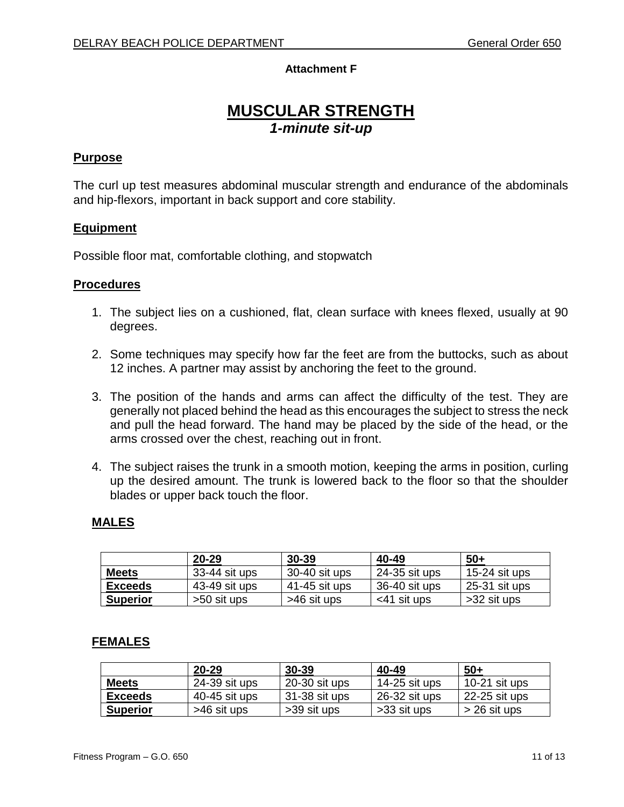# **Attachment F**

# **MUSCULAR STRENGTH** *1-minute sit-up*

#### **Purpose**

The curl up test measures abdominal muscular strength and endurance of the abdominals and hip-flexors, important in back support and core stability.

#### **Equipment**

Possible floor mat, comfortable clothing, and stopwatch

#### **Procedures**

- 1. The subject lies on a cushioned, flat, clean surface with knees flexed, usually at 90 degrees.
- 2. Some techniques may specify how far the feet are from the buttocks, such as about 12 inches. A partner may assist by anchoring the feet to the ground.
- 3. The position of the hands and arms can affect the difficulty of the test. They are generally not placed behind the head as this encourages the subject to stress the neck and pull the head forward. The hand may be placed by the side of the head, or the arms crossed over the chest, reaching out in front.
- 4. The subject raises the trunk in a smooth motion, keeping the arms in position, curling up the desired amount. The trunk is lowered back to the floor so that the shoulder blades or upper back touch the floor.

#### **MALES**

|                 | $20 - 29$     | $30 - 39$     | 40-49          | $50+$         |
|-----------------|---------------|---------------|----------------|---------------|
| <b>Meets</b>    | 33-44 sit ups | 30-40 sit ups | 24-35 sit ups  | 15-24 sit ups |
| <b>Exceeds</b>  | 43-49 sit ups | 41-45 sit ups | 36-40 sit ups  | 25-31 sit ups |
| <b>Superior</b> | >50 sit ups   | >46 sit ups   | $<$ 41 sit ups | >32 sit ups   |

|                 | 20-29           | $30 - 39$       | 40-49         | $50+$               |
|-----------------|-----------------|-----------------|---------------|---------------------|
| <b>Meets</b>    | $24-39$ sit ups | $20-30$ sit ups | 14-25 sit ups | 10-21 $s$ it up $s$ |
| Exceeds         | 40-45 sit ups   | 31-38 sit ups   | 26-32 sit ups | 22-25 sit ups       |
| <b>Superior</b> | >46 sit ups     | >39 sit ups     | >33 sit ups   | $>$ 26 sit ups      |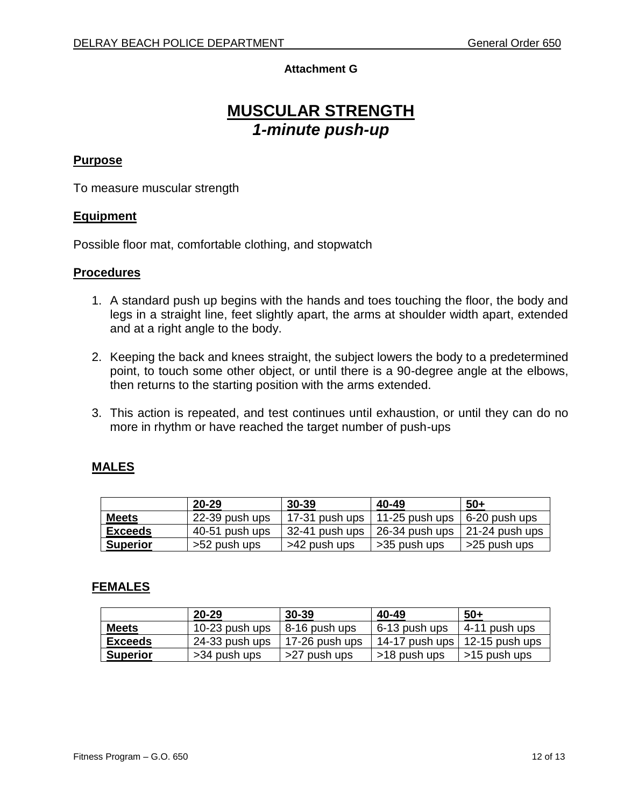# **Attachment G**

# **MUSCULAR STRENGTH** *1-minute push-up*

#### **Purpose**

To measure muscular strength

#### **Equipment**

Possible floor mat, comfortable clothing, and stopwatch

#### **Procedures**

- 1. A standard push up begins with the hands and toes touching the floor, the body and legs in a straight line, feet slightly apart, the arms at shoulder width apart, extended and at a right angle to the body.
- 2. Keeping the back and knees straight, the subject lowers the body to a predetermined point, to touch some other object, or until there is a 90-degree angle at the elbows, then returns to the starting position with the arms extended.
- 3. This action is repeated, and test continues until exhaustion, or until they can do no more in rhythm or have reached the target number of push-ups

# **MALES**

|                 | $20 - 29$      | $30 - 39$      | 40-49                  | $50+$             |
|-----------------|----------------|----------------|------------------------|-------------------|
| <b>Meets</b>    | 22-39 push ups | 17-31 push ups | $\vert$ 11-25 push ups | 6-20 push ups     |
| <b>Exceeds</b>  | 40-51 push ups | 32-41 push ups | 26-34 push ups         | $121-24$ push ups |
| <b>Superior</b> | >52 push ups   | >42 push ups   | >35 push ups           | >25 push ups      |

|                 | $20 - 29$      | 30-39          | 40-49            | $50+$            |
|-----------------|----------------|----------------|------------------|------------------|
| <b>Meets</b>    | 10-23 push ups | 8-16 push ups  | 6-13 push ups    | ∣ 4-11 push ups  |
| <b>Exceeds</b>  | 24-33 push ups | 17-26 push ups | $14-17$ push ups | ∣ 12-15 push ups |
| <b>Superior</b> | >34 push ups   | >27 push ups   | >18 push ups     | >15 push ups     |